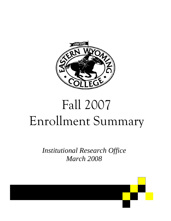

## Fall 2007 Enrollment Summary

*Institutional Research Office March 2008* 

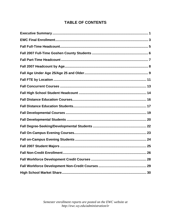## **TABLE OF CONTENTS**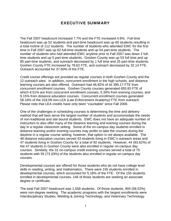## EXECUTIVE SUMMARY

The Fall 2007 headcount increased 7.7% and the FTE increased 4.6%. Full-time headcount was up 52 students and part-time headcount was up 60 students resulting in a total incline of 112 students. The number of students who attended EWC for the first time in Fall 2007 was up 62 full-time students and up 54 part-time students. The number of students who had attended EWC anytime prior to Fall 2007 was down 2 fulltime students and up 5 part-time students. Goshen County was up 53 full time and up 85 part-time students, and outreach decreased by 1 full time and 25 part-time students. Goshen County FTE increased by 78.62 FTE, and outreach decreased by 32.14 FTE. Outreach accounted for 37.60% of the FTE.

Credit course offerings are provided as regular courses in both Goshen County and the 12 outreach sites. In addition, concurrent enrollment in the high schools, and distance learning courses are also offered. Outreach had 46.82% of its 395.17 FTE from concurrent enrollment courses. Goshen County courses generated 655.83 FTE of which 8.51% are from concurrent enrollment courses, 5.34% from evening courses, and 9.15% from distance education courses. Concurrent enrollment courses generated 58.16% of the 318.09 non-LEA (Law Enforcement Academy) FTE from outreach. Please note that LEA credits have only been "countable" since Fall 2006.

One of the challenges in scheduling courses is determining the time and delivery method that will best serve the largest number of students and accommodate the needs of non-traditional and site bound students. EWC does not have an adequate number of instructors to also offer many of the distance learning and evening courses during the day in a regular classroom setting. Some of the on-campus day students enrolled in distance learning and/or evening courses may prefer to take the courses during the daytime in a regular course setting; however, that option is not always available. The 48 distance education courses served 43 students living in EWC's outreach areas and 47 students living in Goshen County for a total of 92 students. However, 44 (93.62%) of the 47 students in Goshen County were also enrolled in regular on-campus day courses. Similarly, the 31 on-campus credit evening courses served a total of 75 students with 55 (73.33%) of the students also enrolled in regular on-campus day courses.

Developmental courses are offered for those students who do not have college level skills in reading, writing, and mathematics. There were 155 students enrolled in developmental courses, which accounted for 5.18% of the FTE. Of the 155 students enrolled in developmental courses, 146 of those students are seeking an associate degree or certificate.

The total Fall 2007 headcount was 1,558 students. Of those students, 904 (58.02%) were non-degree seeking. The academic programs with the largest enrollments were Interdisciplinary Studies, Welding & Joining Technology, and Veterinary Technology.